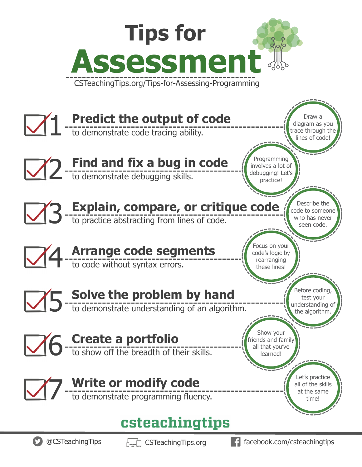